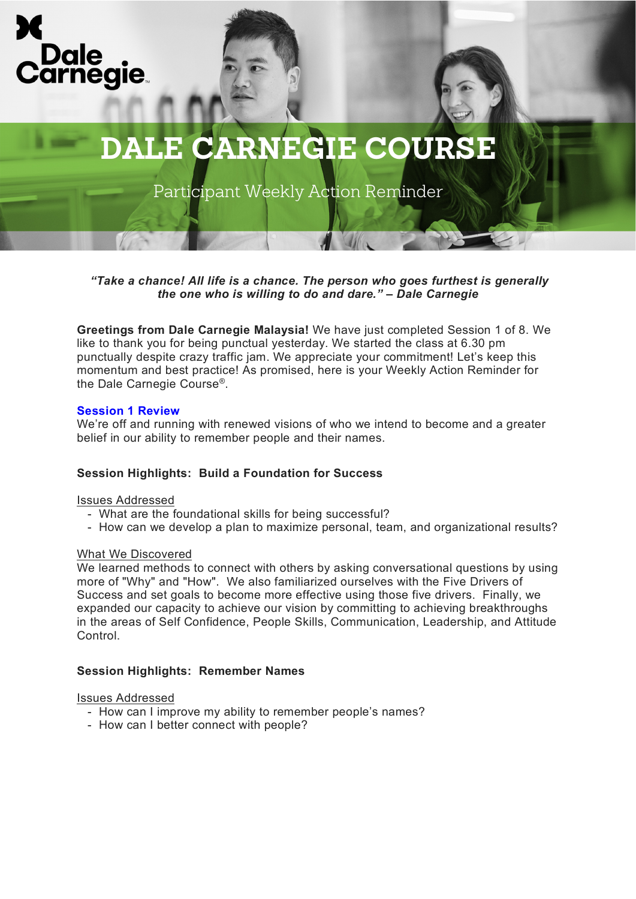



Participant Weekly Action Reminder

*"Take a chance! All life is a chance. The person who goes furthest is generally the one who is willing to do and dare." – Dale Carnegie*

**Greetings from Dale Carnegie Malaysia!** We have just completed Session 1 of 8. We like to thank you for being punctual yesterday. We started the class at 6.30 pm punctually despite crazy traffic jam. We appreciate your commitment! Let's keep this momentum and best practice! As promised, here is your Weekly Action Reminder for the Dale Carnegie Course®.

#### **Session 1 Review**

We're off and running with renewed visions of who we intend to become and a greater belief in our ability to remember people and their names.

## **Session Highlights: Build a Foundation for Success**

#### Issues Addressed

- What are the foundational skills for being successful?
- How can we develop a plan to maximize personal, team, and organizational results?

#### What We Discovered

We learned methods to connect with others by asking conversational questions by using more of "Why" and "How". We also familiarized ourselves with the Five Drivers of Success and set goals to become more effective using those five drivers. Finally, we expanded our capacity to achieve our vision by committing to achieving breakthroughs in the areas of Self Confidence, People Skills, Communication, Leadership, and Attitude Control.

## **Session Highlights: Remember Names**

#### Issues Addressed

- How can I improve my ability to remember people's names?
- How can I better connect with people?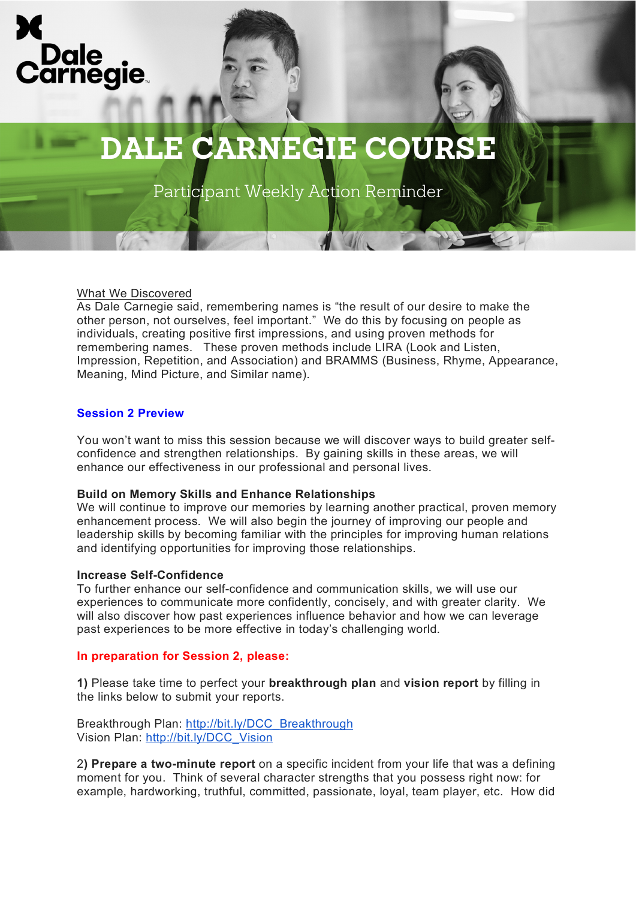



# **DALE CARNEGIE COURSE**

Participant Weekly Action Reminder

## What We Discovered

As Dale Carnegie said, remembering names is "the result of our desire to make the other person, not ourselves, feel important." We do this by focusing on people as individuals, creating positive first impressions, and using proven methods for remembering names. These proven methods include LIRA (Look and Listen, Impression, Repetition, and Association) and BRAMMS (Business, Rhyme, Appearance, Meaning, Mind Picture, and Similar name).

## **Session 2 Preview**

You won't want to miss this session because we will discover ways to build greater selfconfidence and strengthen relationships. By gaining skills in these areas, we will enhance our effectiveness in our professional and personal lives.

## **Build on Memory Skills and Enhance Relationships**

We will continue to improve our memories by learning another practical, proven memory enhancement process. We will also begin the journey of improving our people and leadership skills by becoming familiar with the principles for improving human relations and identifying opportunities for improving those relationships.

## **Increase Self-Confidence**

To further enhance our self-confidence and communication skills, we will use our experiences to communicate more confidently, concisely, and with greater clarity. We will also discover how past experiences influence behavior and how we can leverage past experiences to be more effective in today's challenging world.

## **In preparation for Session 2, please:**

**1)** Please take time to perfect your **breakthrough plan** and **vision report** by filling in the links below to submit your reports.

Breakthrough Plan: [http://bit.ly/DCC\\_Breakthrough](http://bit.ly/DCC_Breakthrough) Vision Plan: [http://bit.ly/DCC\\_Vision](http://bit.ly/DCC_Vision)

2**) Prepare a two-minute report** on a specific incident from your life that was a defining moment for you. Think of several character strengths that you possess right now: for example, hardworking, truthful, committed, passionate, loyal, team player, etc. How did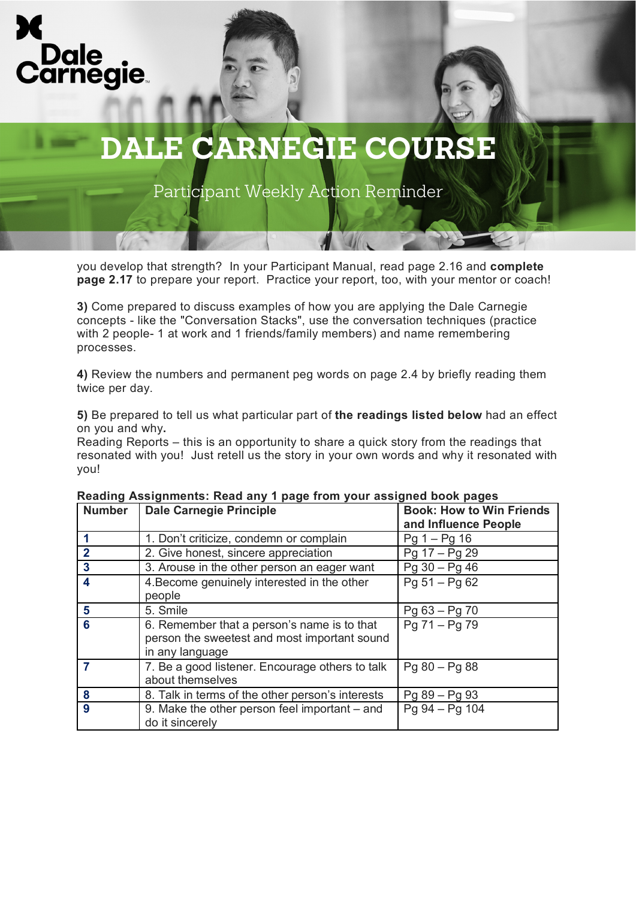



# **DALE CARNEGIE COURSE**

Participant Weekly Action Reminder

you develop that strength? In your Participant Manual, read page 2.16 and **complete page 2.17** to prepare your report. Practice your report, too, with your mentor or coach!

**3)** Come prepared to discuss examples of how you are applying the Dale Carnegie concepts - like the "Conversation Stacks", use the conversation techniques (practice with 2 people- 1 at work and 1 friends/family members) and name remembering processes.

**4)** Review the numbers and permanent peg words on page 2.4 by briefly reading them twice per day.

**5)** Be prepared to tell us what particular part of **the readings listed below** had an effect on you and why**.**

Reading Reports – this is an opportunity to share a quick story from the readings that resonated with you! Just retell us the story in your own words and why it resonated with you!

| <b>Number</b>  | <b>Dale Carnegie Principle</b>                   | <b>Book: How to Win Friends</b><br>and Influence People |
|----------------|--------------------------------------------------|---------------------------------------------------------|
|                | 1. Don't criticize, condemn or complain          | $Pg 1 - Pg 16$                                          |
| $\overline{2}$ | 2. Give honest, sincere appreciation             | $Pg 17 - Pg 29$                                         |
| $\mathbf{3}$   | 3. Arouse in the other person an eager want      | $Pg 30 - Pg 46$                                         |
| 4              | 4. Become genuinely interested in the other      | $Pg 51 - Pg 62$                                         |
|                | people                                           |                                                         |
| 5              | 5. Smile                                         | Pg 63 - Pg 70                                           |
| 6              | 6. Remember that a person's name is to that      | Pg 71 - Pg 79                                           |
|                | person the sweetest and most important sound     |                                                         |
|                | in any language                                  |                                                         |
|                | 7. Be a good listener. Encourage others to talk  | $Pg 80 - Pg 88$                                         |
|                | about themselves                                 |                                                         |
| 8              | 8. Talk in terms of the other person's interests | Pg 89 - Pg 93                                           |
| 9              | 9. Make the other person feel important – and    | Pg 94 - Pg 104                                          |
|                | do it sincerely                                  |                                                         |

#### **Reading Assignments: Read any 1 page from your assigned book pages**